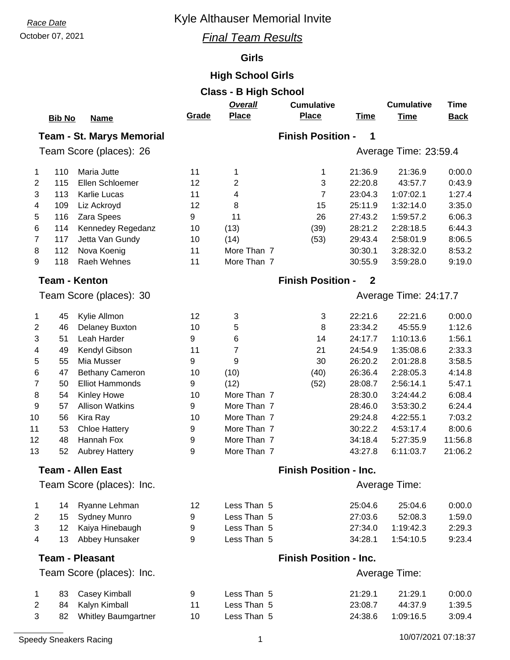# **Race Date Race Date Race Date Race Date Race Date Race Date Race Date Race 2013**

### October 07, 2021 *Final Team Results*

### **Girls**

## **High School Girls**

| <b>Class - B High School</b>                                      |               |                            |                                            |               |                               |             |                       |             |  |  |  |
|-------------------------------------------------------------------|---------------|----------------------------|--------------------------------------------|---------------|-------------------------------|-------------|-----------------------|-------------|--|--|--|
|                                                                   |               |                            |                                            | Overall       | <b>Cumulative</b>             |             | <b>Cumulative</b>     | <b>Time</b> |  |  |  |
|                                                                   | <b>Bib No</b> | <b>Name</b>                | Grade                                      | <b>Place</b>  | <b>Place</b>                  | <b>Time</b> | <b>Time</b>           | <b>Back</b> |  |  |  |
| <b>Finish Position -</b><br><b>Team - St. Marys Memorial</b><br>1 |               |                            |                                            |               |                               |             |                       |             |  |  |  |
|                                                                   |               |                            |                                            |               |                               |             |                       |             |  |  |  |
|                                                                   |               | Team Score (places): 26    |                                            |               |                               |             | Average Time: 23:59.4 |             |  |  |  |
| 1                                                                 | 110           | Maria Jutte                | 11                                         | 1             | 1                             | 21:36.9     | 21:36.9               | 0:00.0      |  |  |  |
| 2                                                                 | 115           | Ellen Schloemer            | 12                                         | 2             | 3                             | 22:20.8     | 43:57.7               | 0:43.9      |  |  |  |
| 3                                                                 | 113           | <b>Karlie Lucas</b>        | 11                                         | 4             | 7                             | 23:04.3     | 1:07:02.1             | 1:27.4      |  |  |  |
| 4                                                                 | 109           | Liz Ackroyd                | 12                                         | 8             | 15                            | 25:11.9     | 1:32:14.0             | 3:35.0      |  |  |  |
| 5                                                                 | 116           | Zara Spees                 | 9                                          | 11            | 26                            | 27:43.2     | 1:59:57.2             | 6:06.3      |  |  |  |
| 6                                                                 | 114           | Kennedey Regedanz          | 10                                         | (13)          | (39)                          | 28:21.2     | 2:28:18.5             | 6:44.3      |  |  |  |
| 7                                                                 | 117           | Jetta Van Gundy            | 10                                         | (14)          | (53)                          | 29:43.4     | 2:58:01.9             | 8:06.5      |  |  |  |
| 8                                                                 | 112           | Nova Koenig                | 11                                         | More Than 7   |                               | 30:30.1     | 3:28:32.0             | 8:53.2      |  |  |  |
| 9                                                                 | 118           | Raeh Wehnes                | 11                                         | More Than 7   |                               | 30:55.9     | 3:59:28.0             | 9:19.0      |  |  |  |
|                                                                   |               | <b>Team - Kenton</b>       | <b>Finish Position -</b><br>$\overline{2}$ |               |                               |             |                       |             |  |  |  |
|                                                                   |               | Team Score (places): 30    |                                            |               |                               |             |                       |             |  |  |  |
|                                                                   |               |                            |                                            |               |                               |             | Average Time: 24:17.7 |             |  |  |  |
| 1                                                                 | 45            | Kylie Allmon               | 12                                         | 3             | 3                             | 22:21.6     | 22:21.6               | 0:00.0      |  |  |  |
| 2                                                                 | 46            | <b>Delaney Buxton</b>      | 10                                         | 5             | 8                             | 23:34.2     | 45:55.9               | 1:12.6      |  |  |  |
| 3                                                                 | 51            | Leah Harder                | 9                                          | 6             | 14                            | 24:17.7     | 1:10:13.6             | 1:56.1      |  |  |  |
| 4                                                                 | 49            | Kendyl Gibson              | 11                                         | 7             | 21                            | 24:54.9     | 1:35:08.6             | 2:33.3      |  |  |  |
| 5                                                                 | 55            | Mia Musser                 | 9                                          | 9             | 30                            | 26:20.2     | 2:01:28.8             | 3:58.5      |  |  |  |
| 6                                                                 | 47            | <b>Bethany Cameron</b>     | 10                                         | (10)          | (40)                          | 26:36.4     | 2:28:05.3             | 4:14.8      |  |  |  |
| 7                                                                 | 50            | <b>Elliot Hammonds</b>     | 9                                          | (12)          | (52)                          | 28:08.7     | 2:56:14.1             | 5:47.1      |  |  |  |
| 8                                                                 | 54            | <b>Kinley Howe</b>         | 10                                         | More Than 7   |                               | 28:30.0     | 3:24:44.2             | 6:08.4      |  |  |  |
| 9                                                                 | 57            | <b>Allison Watkins</b>     | 9                                          | More Than 7   |                               | 28:46.0     | 3:53:30.2             | 6:24.4      |  |  |  |
| 10                                                                | 56            | Kira Ray                   | 10                                         | More Than 7   |                               | 29:24.8     | 4:22:55.1             | 7:03.2      |  |  |  |
| 11                                                                | 53            | <b>Chloe Hattery</b>       | 9                                          | More Than 7   |                               | 30:22.2     | 4:53:17.4             | 8:00.6      |  |  |  |
| 12                                                                | 48            | Hannah Fox                 | 9                                          | More Than 7   |                               | 34:18.4     | 5:27:35.9             | 11:56.8     |  |  |  |
| 13                                                                | 52            | <b>Aubrey Hattery</b>      | 9                                          | More Than 7   |                               | 43:27.8     | 6:11:03.7             | 21:06.2     |  |  |  |
|                                                                   |               | <b>Team - Allen East</b>   |                                            |               | <b>Finish Position - Inc.</b> |             |                       |             |  |  |  |
|                                                                   |               |                            |                                            |               |                               |             |                       |             |  |  |  |
|                                                                   |               | Team Score (places): Inc.  |                                            |               |                               |             | Average Time:         |             |  |  |  |
| 1                                                                 | 14            | Ryanne Lehman              | 12                                         | Less Than 5   |                               | 25:04.6     | 25:04.6               | 0:00.0      |  |  |  |
| 2                                                                 | 15            | <b>Sydney Munro</b>        | 9                                          | Less Than 5   |                               | 27:03.6     | 52:08.3               | 1:59.0      |  |  |  |
| 3                                                                 | 12            | Kaiya Hinebaugh            | 9                                          | Less Than 5   |                               | 27:34.0     | 1:19:42.3             | 2:29.3      |  |  |  |
| 4                                                                 | 13            | Abbey Hunsaker             | 9                                          | Less Than 5   |                               | 34:28.1     | 1:54:10.5             | 9:23.4      |  |  |  |
|                                                                   |               | <b>Team - Pleasant</b>     |                                            |               | <b>Finish Position - Inc.</b> |             |                       |             |  |  |  |
|                                                                   |               | Team Score (places): Inc.  |                                            | Average Time: |                               |             |                       |             |  |  |  |
|                                                                   |               |                            |                                            |               |                               |             |                       |             |  |  |  |
| 1                                                                 | 83            | Casey Kimball              | 9                                          | Less Than 5   |                               | 21:29.1     | 21:29.1               | 0:00.0      |  |  |  |
| 2                                                                 | 84            | Kalyn Kimball              | 11                                         | Less Than 5   |                               | 23:08.7     | 44:37.9               | 1:39.5      |  |  |  |
| 3                                                                 | 82            | <b>Whitley Baumgartner</b> | 10                                         | Less Than 5   |                               | 24:38.6     | 1:09:16.5             | 3:09.4      |  |  |  |